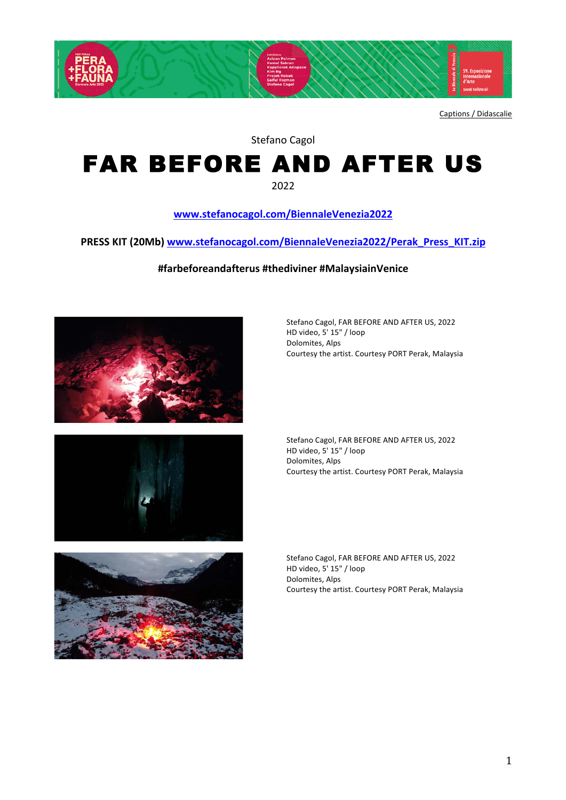

Captions / Didascalie

Stefano Cagol

## FAR BEFORE AND AFTER US

2022

## **www.stefanocagol.com/BiennaleVenezia2022**

PRESS KIT (20Mb) www.stefanocagol.com/BiennaleVenezia2022/Perak\_Press\_KIT.zip

**#farbeforeandafterus #thediviner #MalaysiainVenice**







Stefano Cagol, FAR BEFORE AND AFTER US, 2022 HD video, 5' 15" / loop Dolomites, Alps Courtesy the artist. Courtesy PORT Perak, Malaysia

Stefano Cagol, FAR BEFORE AND AFTER US, 2022 HD video, 5' 15" / loop Dolomites, Alps Courtesy the artist. Courtesy PORT Perak, Malaysia

Stefano Cagol, FAR BEFORE AND AFTER US, 2022 HD video, 5' 15" / loop Dolomites, Alps Courtesy the artist. Courtesy PORT Perak, Malaysia